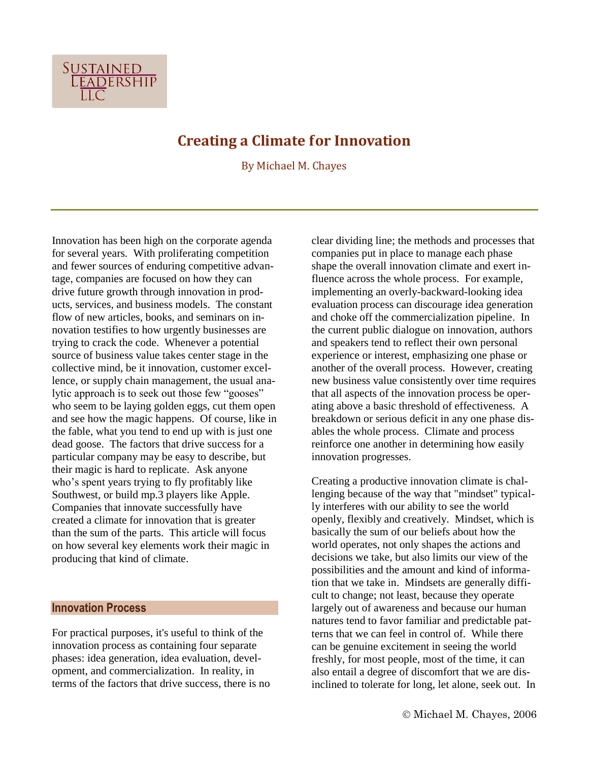

# **Creating a Climate for Innovation**

By Michael M. Chayes

Innovation has been high on the corporate agenda for several years. With proliferating competition and fewer sources of enduring competitive advantage, companies are focused on how they can drive future growth through innovation in products, services, and business models. The constant flow of new articles, books, and seminars on innovation testifies to how urgently businesses are trying to crack the code. Whenever a potential source of business value takes center stage in the collective mind, be it innovation, customer excellence, or supply chain management, the usual analytic approach is to seek out those few "gooses" who seem to be laying golden eggs, cut them open and see how the magic happens. Of course, like in the fable, what you tend to end up with is just one dead goose. The factors that drive success for a particular company may be easy to describe, but their magic is hard to replicate. Ask anyone who's spent years trying to fly profitably like Southwest, or build mp.3 players like Apple. Companies that innovate successfully have created a climate for innovation that is greater than the sum of the parts. This article will focus on how several key elements work their magic in producing that kind of climate.

# **Innovation Process**

For practical purposes, it's useful to think of the innovation process as containing four separate phases: idea generation, idea evaluation, development, and commercialization. In reality, in terms of the factors that drive success, there is no clear dividing line; the methods and processes that companies put in place to manage each phase shape the overall innovation climate and exert influence across the whole process. For example, implementing an overly-backward-looking idea evaluation process can discourage idea generation and choke off the commercialization pipeline. In the current public dialogue on innovation, authors and speakers tend to reflect their own personal experience or interest, emphasizing one phase or another of the overall process. However, creating new business value consistently over time requires that all aspects of the innovation process be operating above a basic threshold of effectiveness. A breakdown or serious deficit in any one phase disables the whole process. Climate and process reinforce one another in determining how easily innovation progresses.

Creating a productive innovation climate is challenging because of the way that "mindset" typically interferes with our ability to see the world openly, flexibly and creatively. Mindset, which is basically the sum of our beliefs about how the world operates, not only shapes the actions and decisions we take, but also limits our view of the possibilities and the amount and kind of information that we take in. Mindsets are generally difficult to change; not least, because they operate largely out of awareness and because our human natures tend to favor familiar and predictable patterns that we can feel in control of. While there can be genuine excitement in seeing the world freshly, for most people, most of the time, it can also entail a degree of discomfort that we are disinclined to tolerate for long, let alone, seek out. In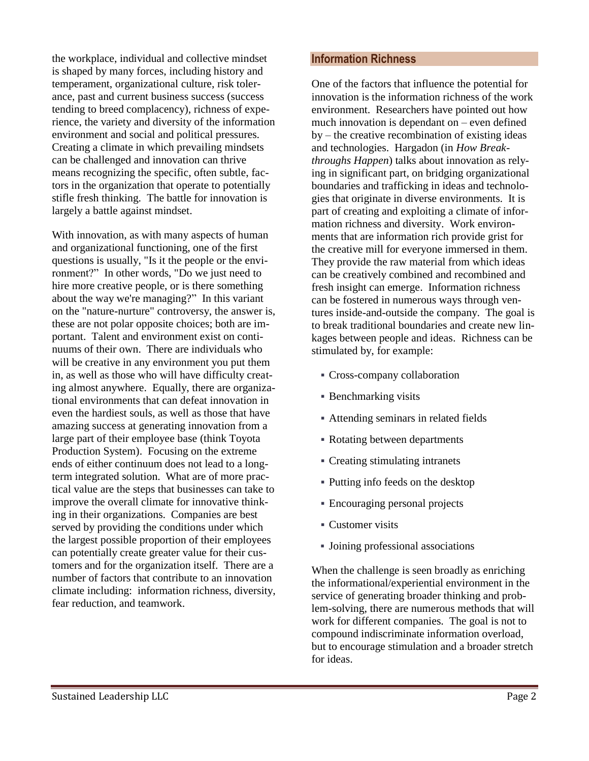the workplace, individual and collective mindset is shaped by many forces, including history and temperament, organizational culture, risk tolerance, past and current business success (success tending to breed complacency), richness of experience, the variety and diversity of the information environment and social and political pressures. Creating a climate in which prevailing mindsets can be challenged and innovation can thrive means recognizing the specific, often subtle, factors in the organization that operate to potentially stifle fresh thinking. The battle for innovation is largely a battle against mindset.

With innovation, as with many aspects of human and organizational functioning, one of the first questions is usually, "Is it the people or the environment?" In other words, "Do we just need to hire more creative people, or is there something about the way we're managing?" In this variant on the "nature-nurture" controversy, the answer is, these are not polar opposite choices; both are important. Talent and environment exist on continuums of their own. There are individuals who will be creative in any environment you put them in, as well as those who will have difficulty creating almost anywhere. Equally, there are organizational environments that can defeat innovation in even the hardiest souls, as well as those that have amazing success at generating innovation from a large part of their employee base (think Toyota Production System). Focusing on the extreme ends of either continuum does not lead to a longterm integrated solution. What are of more practical value are the steps that businesses can take to improve the overall climate for innovative thinking in their organizations. Companies are best served by providing the conditions under which the largest possible proportion of their employees can potentially create greater value for their customers and for the organization itself. There are a number of factors that contribute to an innovation climate including: information richness, diversity, fear reduction, and teamwork.

## **Information Richness**

One of the factors that influence the potential for innovation is the information richness of the work environment. Researchers have pointed out how much innovation is dependant on – even defined by – the creative recombination of existing ideas and technologies. Hargadon (in *How Breakthroughs Happen*) talks about innovation as relying in significant part, on bridging organizational boundaries and trafficking in ideas and technologies that originate in diverse environments. It is part of creating and exploiting a climate of information richness and diversity. Work environments that are information rich provide grist for the creative mill for everyone immersed in them. They provide the raw material from which ideas can be creatively combined and recombined and fresh insight can emerge. Information richness can be fostered in numerous ways through ventures inside-and-outside the company. The goal is to break traditional boundaries and create new linkages between people and ideas. Richness can be stimulated by, for example:

- Cross-company collaboration
- **Benchmarking visits**
- Attending seminars in related fields
- Rotating between departments
- Creating stimulating intranets
- Putting info feeds on the desktop
- Encouraging personal projects
- Customer visits
- Joining professional associations

When the challenge is seen broadly as enriching the informational/experiential environment in the service of generating broader thinking and problem-solving, there are numerous methods that will work for different companies. The goal is not to compound indiscriminate information overload, but to encourage stimulation and a broader stretch for ideas.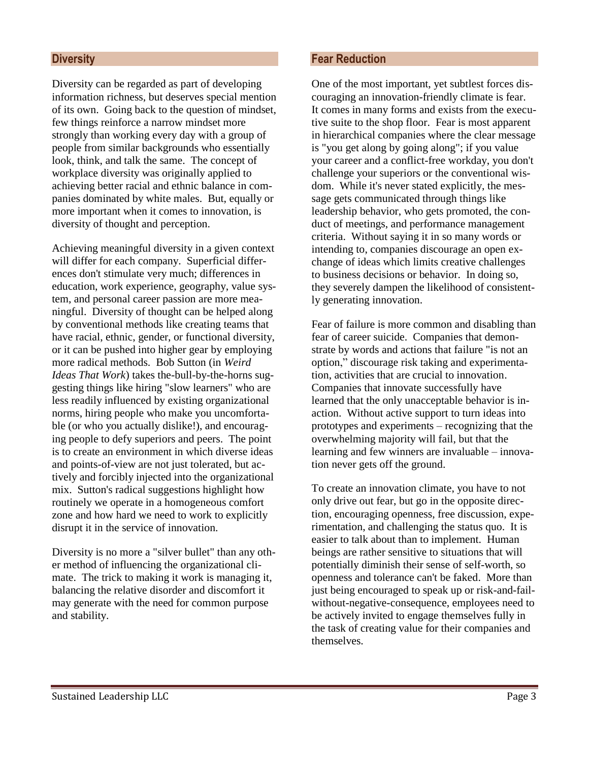## **Diversity**

Diversity can be regarded as part of developing information richness, but deserves special mention of its own. Going back to the question of mindset, few things reinforce a narrow mindset more strongly than working every day with a group of people from similar backgrounds who essentially look, think, and talk the same. The concept of workplace diversity was originally applied to achieving better racial and ethnic balance in companies dominated by white males. But, equally or more important when it comes to innovation, is diversity of thought and perception.

Achieving meaningful diversity in a given context will differ for each company. Superficial differences don't stimulate very much; differences in education, work experience, geography, value system, and personal career passion are more meaningful. Diversity of thought can be helped along by conventional methods like creating teams that have racial, ethnic, gender, or functional diversity, or it can be pushed into higher gear by employing more radical methods. Bob Sutton (in *Weird Ideas That Work*) takes the-bull-by-the-horns suggesting things like hiring "slow learners" who are less readily influenced by existing organizational norms, hiring people who make you uncomfortable (or who you actually dislike!), and encouraging people to defy superiors and peers. The point is to create an environment in which diverse ideas and points-of-view are not just tolerated, but actively and forcibly injected into the organizational mix. Sutton's radical suggestions highlight how routinely we operate in a homogeneous comfort zone and how hard we need to work to explicitly disrupt it in the service of innovation.

Diversity is no more a "silver bullet" than any other method of influencing the organizational climate. The trick to making it work is managing it, balancing the relative disorder and discomfort it may generate with the need for common purpose and stability.

# **Fear Reduction**

One of the most important, yet subtlest forces discouraging an innovation-friendly climate is fear. It comes in many forms and exists from the executive suite to the shop floor. Fear is most apparent in hierarchical companies where the clear message is "you get along by going along"; if you value your career and a conflict-free workday, you don't challenge your superiors or the conventional wisdom. While it's never stated explicitly, the message gets communicated through things like leadership behavior, who gets promoted, the conduct of meetings, and performance management criteria. Without saying it in so many words or intending to, companies discourage an open exchange of ideas which limits creative challenges to business decisions or behavior. In doing so, they severely dampen the likelihood of consistently generating innovation.

Fear of failure is more common and disabling than fear of career suicide. Companies that demonstrate by words and actions that failure "is not an option," discourage risk taking and experimentation, activities that are crucial to innovation. Companies that innovate successfully have learned that the only unacceptable behavior is inaction. Without active support to turn ideas into prototypes and experiments – recognizing that the overwhelming majority will fail, but that the learning and few winners are invaluable – innovation never gets off the ground.

To create an innovation climate, you have to not only drive out fear, but go in the opposite direction, encouraging openness, free discussion, experimentation, and challenging the status quo. It is easier to talk about than to implement. Human beings are rather sensitive to situations that will potentially diminish their sense of self-worth, so openness and tolerance can't be faked. More than just being encouraged to speak up or risk-and-failwithout-negative-consequence, employees need to be actively invited to engage themselves fully in the task of creating value for their companies and themselves.